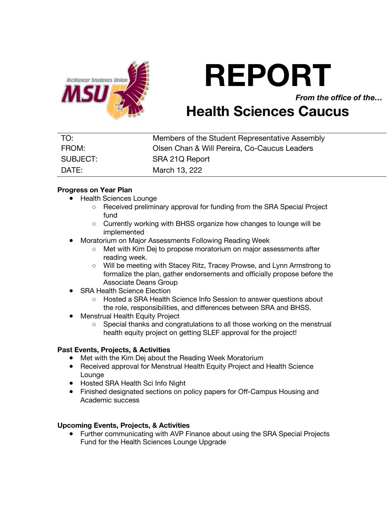

# **REPORT**

*From the office of the…*

# **Health Sciences Caucus**

| TO:      | Members of the Student Representative Assembly |
|----------|------------------------------------------------|
| FROM:    | Olsen Chan & Will Pereira, Co-Caucus Leaders   |
| SUBJECT: | SRA 21Q Report                                 |
| DATE:    | March 13, 222                                  |

# **Progress on Year Plan**

- Health Sciences Lounge
	- Received preliminary approval for funding from the SRA Special Project fund
	- Currently working with BHSS organize how changes to lounge will be implemented
- **Moratorium on Major Assessments Following Reading Week** 
	- Met with Kim Dej to propose moratorium on major assessments after reading week.
	- Will be meeting with Stacey Ritz, Tracey Prowse, and Lynn Armstrong to formalize the plan, gather endorsements and officially propose before the Associate Deans Group
- **SRA Health Science Election** 
	- Hosted a SRA Health Science Info Session to answer questions about the role, responsibilities, and differences between SRA and BHSS.
- Menstrual Health Equity Project
	- Special thanks and congratulations to all those working on the menstrual health equity project on getting SLEF approval for the project!

### **Past Events, Projects, & Activities**

- Met with the Kim Dej about the Reading Week Moratorium
- Received approval for Menstrual Health Equity Project and Health Science Lounge
- Hosted SRA Health Sci Info Night
- Finished designated sections on policy papers for Off-Campus Housing and Academic success

# **Upcoming Events, Projects, & Activities**

● Further communicating with AVP Finance about using the SRA Special Projects Fund for the Health Sciences Lounge Upgrade